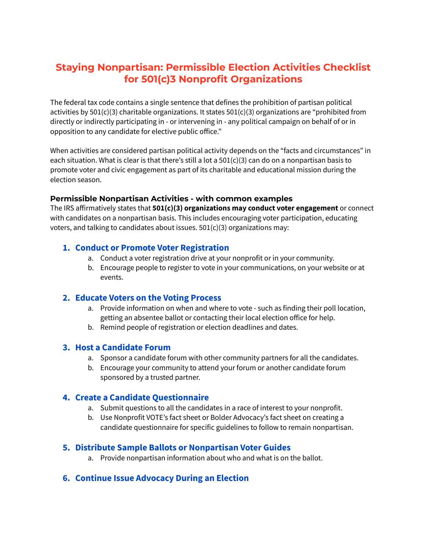# **Staying Nonpartisan: Permissible Election Activities Checklist for 501(c)3 Nonprofit Organizations**

The federal tax code contains a single sentence that defines the prohibition of partisan political activities by 501(c)(3) charitable organizations. It states 501(c)(3) organizations are "prohibited from directly or indirectly participating in - or intervening in - any political campaign on behalf of or in opposition to any candidate for elective public office."

When activities are considered partisan political activity depends on the "facts and circumstances" in each situation. What is clear is that there's still a lot a 501(c)(3) can do on a nonpartisan basis to promote voter and civic engagement as part of its charitable and educational mission during the election season.

### **Permissible Nonpartisan Activities - with common examples**

The IRS affirmatively states that **501(c)(3) organizations may conduct voter engagement** or connect with candidates on a nonpartisan basis. This includes encouraging voter participation, educating voters, and talking to candidates about issues. 501(c)(3) organizations may:

### **1. Conduct or Promote Voter Registration**

- a. Conduct a voter registration drive at your nonprofit or in your community.
- b. Encourage people to register to vote in your communications, on your website or at events.

### **2. Educate Voters on the Voting Process**

- a. Provide information on when and where to vote such as finding their poll location, getting an absentee ballot or contacting their local election office for help.
- b. Remind people of registration or election deadlines and dates.

### **3. Host a Candidate Forum**

- a. Sponsor a candidate forum with other community partners for all the candidates.
- b. Encourage your community to attend your forum or another candidate forum sponsored by a trusted partner.

## **4. Create a Candidate Questionnaire**

- a. Submit questions to all the candidates in a race of interest to your nonprofit.
- b. Use Nonprofit VOTE's fact sheet or Bolder Advocacy's fact sheet on creating a candidate questionnaire for specific guidelines to follow to remain nonpartisan.

## **5. Distribute Sample Ballots or Nonpartisan Voter Guides**

a. Provide nonpartisan information about who and what is on the ballot.

# **6. Continue Issue Advocacy During an Election**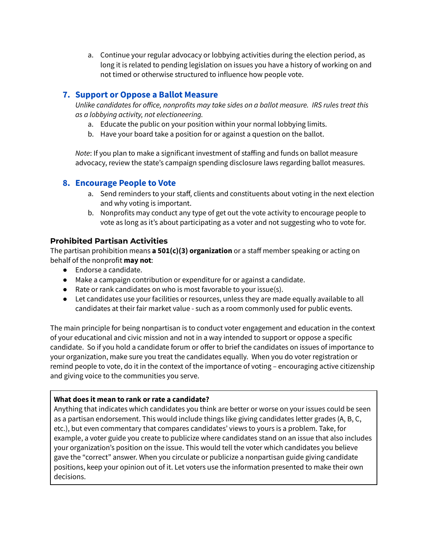a. Continue your regular advocacy or lobbying activities during the election period, as long it is related to pending legislation on issues you have a history of working on and not timed or otherwise structured to influence how people vote.

# **7. Support or Oppose a Ballot Measure**

*Unlike candidates for office, nonprofits may take sides on a ballot measure. IRS rules treat this as a lobbying activity, not electioneering.*

- a. Educate the public on your position within your normal lobbying limits.
- b. Have your board take a position for or against a question on the ballot.

*Note*: If you plan to make a significant investment of staffing and funds on ballot measure advocacy, review the state's campaign spending disclosure laws regarding ballot measures.

## **8. Encourage People to Vote**

- a. Send reminders to your staff, clients and constituents about voting in the next election and why voting is important.
- b. Nonprofits may conduct any type of get out the vote activity to encourage people to vote as long as it's about participating as a voter and not suggesting who to vote for.

### **Prohibited Partisan Activities**

The partisan prohibition means **a 501(c)(3) organization** or a staff member speaking or acting on behalf of the nonprofit **may not**:

- Endorse a candidate.
- Make a campaign contribution or expenditure for or against a candidate.
- Rate or rank candidates on who is most favorable to your issue(s).
- Let candidates use your facilities or resources, unless they are made equally available to all candidates at their fair market value - such as a room commonly used for public events.

The main principle for being nonpartisan is to conduct voter engagement and education in the context of your educational and civic mission and not in a way intended to support or oppose a specific candidate. So if you hold a candidate forum or offer to brief the candidates on issues of importance to your organization, make sure you treat the candidates equally. When you do voter registration or remind people to vote, do it in the context of the importance of voting – encouraging active citizenship and giving voice to the communities you serve.

### **What does it mean to rank or rate a candidate?**

Anything that indicates which candidates you think are better or worse on your issues could be seen as a partisan endorsement. This would include things like giving candidates letter grades (A, B, C, etc.), but even commentary that compares candidates' views to yours is a problem. Take, for example, a voter guide you create to publicize where candidates stand on an issue that also includes your organization's position on the issue. This would tell the voter which candidates you believe gave the "correct" answer. When you circulate or publicize a nonpartisan guide giving candidate positions, keep your opinion out of it. Let voters use the information presented to make their own decisions.